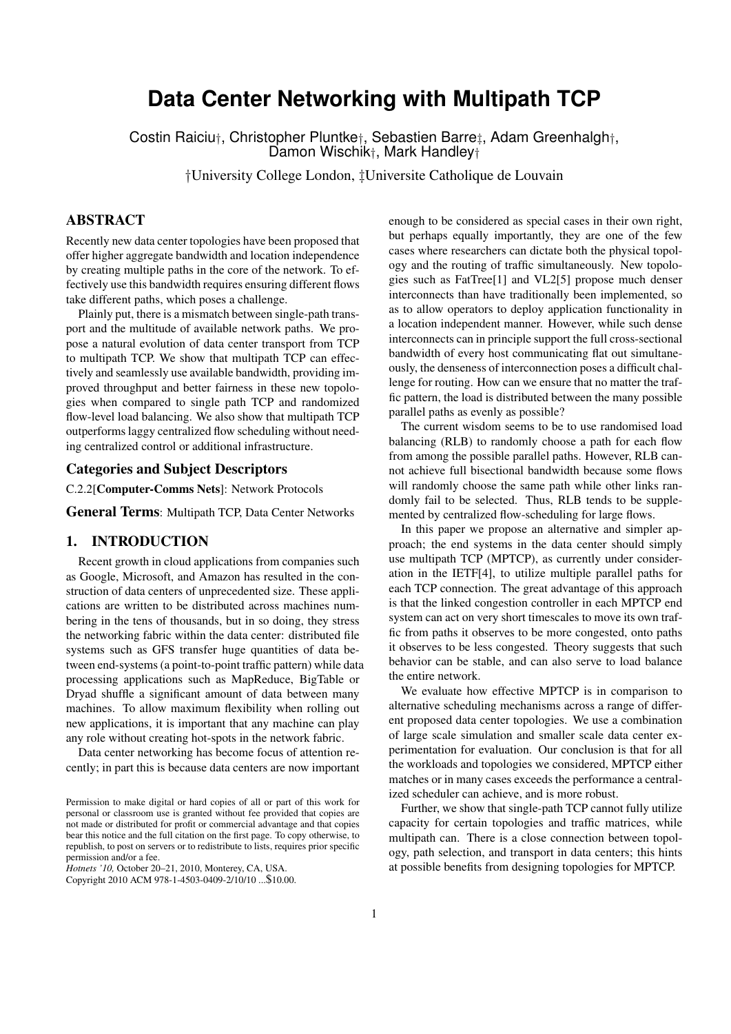# **Data Center Networking with Multipath TCP**

Costin Raiciu†, Christopher Pluntke†, Sebastien Barre‡, Adam Greenhalgh†, Damon Wischik†, Mark Handley†

†University College London, ‡Universite Catholique de Louvain

# ABSTRACT

Recently new data center topologies have been proposed that offer higher aggregate bandwidth and location independence by creating multiple paths in the core of the network. To effectively use this bandwidth requires ensuring different flows take different paths, which poses a challenge.

Plainly put, there is a mismatch between single-path transport and the multitude of available network paths. We propose a natural evolution of data center transport from TCP to multipath TCP. We show that multipath TCP can effectively and seamlessly use available bandwidth, providing improved throughput and better fairness in these new topologies when compared to single path TCP and randomized flow-level load balancing. We also show that multipath TCP outperforms laggy centralized flow scheduling without needing centralized control or additional infrastructure.

#### Categories and Subject Descriptors

C.2.2[Computer-Comms Nets]: Network Protocols

General Terms: Multipath TCP, Data Center Networks

## 1. INTRODUCTION

Recent growth in cloud applications from companies such as Google, Microsoft, and Amazon has resulted in the construction of data centers of unprecedented size. These applications are written to be distributed across machines numbering in the tens of thousands, but in so doing, they stress the networking fabric within the data center: distributed file systems such as GFS transfer huge quantities of data between end-systems (a point-to-point traffic pattern) while data processing applications such as MapReduce, BigTable or Dryad shuffle a significant amount of data between many machines. To allow maximum flexibility when rolling out new applications, it is important that any machine can play any role without creating hot-spots in the network fabric.

Data center networking has become focus of attention recently; in part this is because data centers are now important

*Hotnets '10,* October 20–21, 2010, Monterey, CA, USA.

enough to be considered as special cases in their own right, but perhaps equally importantly, they are one of the few cases where researchers can dictate both the physical topology and the routing of traffic simultaneously. New topologies such as FatTree[1] and VL2[5] propose much denser interconnects than have traditionally been implemented, so as to allow operators to deploy application functionality in a location independent manner. However, while such dense interconnects can in principle support the full cross-sectional bandwidth of every host communicating flat out simultaneously, the denseness of interconnection poses a difficult challenge for routing. How can we ensure that no matter the traffic pattern, the load is distributed between the many possible parallel paths as evenly as possible?

The current wisdom seems to be to use randomised load balancing (RLB) to randomly choose a path for each flow from among the possible parallel paths. However, RLB cannot achieve full bisectional bandwidth because some flows will randomly choose the same path while other links randomly fail to be selected. Thus, RLB tends to be supplemented by centralized flow-scheduling for large flows.

In this paper we propose an alternative and simpler approach; the end systems in the data center should simply use multipath TCP (MPTCP), as currently under consideration in the IETF[4], to utilize multiple parallel paths for each TCP connection. The great advantage of this approach is that the linked congestion controller in each MPTCP end system can act on very short timescales to move its own traffic from paths it observes to be more congested, onto paths it observes to be less congested. Theory suggests that such behavior can be stable, and can also serve to load balance the entire network.

We evaluate how effective MPTCP is in comparison to alternative scheduling mechanisms across a range of different proposed data center topologies. We use a combination of large scale simulation and smaller scale data center experimentation for evaluation. Our conclusion is that for all the workloads and topologies we considered, MPTCP either matches or in many cases exceeds the performance a centralized scheduler can achieve, and is more robust.

Further, we show that single-path TCP cannot fully utilize capacity for certain topologies and traffic matrices, while multipath can. There is a close connection between topology, path selection, and transport in data centers; this hints at possible benefits from designing topologies for MPTCP.

Permission to make digital or hard copies of all or part of this work for personal or classroom use is granted without fee provided that copies are not made or distributed for profit or commercial advantage and that copies bear this notice and the full citation on the first page. To copy otherwise, to republish, to post on servers or to redistribute to lists, requires prior specific permission and/or a fee.

Copyright 2010 ACM 978-1-4503-0409-2/10/10 ...\$10.00.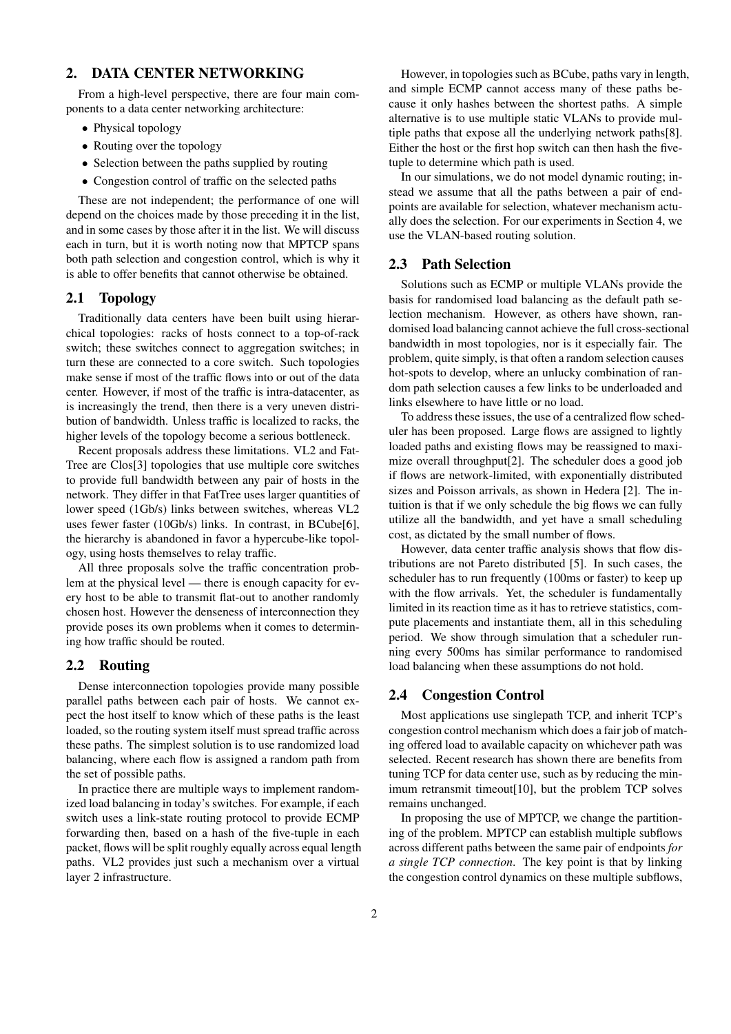# 2. DATA CENTER NETWORKING

From a high-level perspective, there are four main components to a data center networking architecture:

- Physical topology
- Routing over the topology
- Selection between the paths supplied by routing
- Congestion control of traffic on the selected paths

These are not independent; the performance of one will depend on the choices made by those preceding it in the list, and in some cases by those after it in the list. We will discuss each in turn, but it is worth noting now that MPTCP spans both path selection and congestion control, which is why it is able to offer benefits that cannot otherwise be obtained.

## 2.1 Topology

Traditionally data centers have been built using hierarchical topologies: racks of hosts connect to a top-of-rack switch; these switches connect to aggregation switches; in turn these are connected to a core switch. Such topologies make sense if most of the traffic flows into or out of the data center. However, if most of the traffic is intra-datacenter, as is increasingly the trend, then there is a very uneven distribution of bandwidth. Unless traffic is localized to racks, the higher levels of the topology become a serious bottleneck.

Recent proposals address these limitations. VL2 and Fat-Tree are Clos[3] topologies that use multiple core switches to provide full bandwidth between any pair of hosts in the network. They differ in that FatTree uses larger quantities of lower speed (1Gb/s) links between switches, whereas VL2 uses fewer faster (10Gb/s) links. In contrast, in BCube[6], the hierarchy is abandoned in favor a hypercube-like topology, using hosts themselves to relay traffic.

All three proposals solve the traffic concentration problem at the physical level — there is enough capacity for every host to be able to transmit flat-out to another randomly chosen host. However the denseness of interconnection they provide poses its own problems when it comes to determining how traffic should be routed.

# 2.2 Routing

Dense interconnection topologies provide many possible parallel paths between each pair of hosts. We cannot expect the host itself to know which of these paths is the least loaded, so the routing system itself must spread traffic across these paths. The simplest solution is to use randomized load balancing, where each flow is assigned a random path from the set of possible paths.

In practice there are multiple ways to implement randomized load balancing in today's switches. For example, if each switch uses a link-state routing protocol to provide ECMP forwarding then, based on a hash of the five-tuple in each packet, flows will be split roughly equally across equal length paths. VL2 provides just such a mechanism over a virtual layer 2 infrastructure.

However, in topologies such as BCube, paths vary in length, and simple ECMP cannot access many of these paths because it only hashes between the shortest paths. A simple alternative is to use multiple static VLANs to provide multiple paths that expose all the underlying network paths[8]. Either the host or the first hop switch can then hash the fivetuple to determine which path is used.

In our simulations, we do not model dynamic routing; instead we assume that all the paths between a pair of endpoints are available for selection, whatever mechanism actually does the selection. For our experiments in Section 4, we use the VLAN-based routing solution.

## 2.3 Path Selection

Solutions such as ECMP or multiple VLANs provide the basis for randomised load balancing as the default path selection mechanism. However, as others have shown, randomised load balancing cannot achieve the full cross-sectional bandwidth in most topologies, nor is it especially fair. The problem, quite simply, is that often a random selection causes hot-spots to develop, where an unlucky combination of random path selection causes a few links to be underloaded and links elsewhere to have little or no load.

To address these issues, the use of a centralized flow scheduler has been proposed. Large flows are assigned to lightly loaded paths and existing flows may be reassigned to maximize overall throughput[2]. The scheduler does a good job if flows are network-limited, with exponentially distributed sizes and Poisson arrivals, as shown in Hedera [2]. The intuition is that if we only schedule the big flows we can fully utilize all the bandwidth, and yet have a small scheduling cost, as dictated by the small number of flows.

However, data center traffic analysis shows that flow distributions are not Pareto distributed [5]. In such cases, the scheduler has to run frequently (100ms or faster) to keep up with the flow arrivals. Yet, the scheduler is fundamentally limited in its reaction time as it has to retrieve statistics, compute placements and instantiate them, all in this scheduling period. We show through simulation that a scheduler running every 500ms has similar performance to randomised load balancing when these assumptions do not hold.

## 2.4 Congestion Control

Most applications use singlepath TCP, and inherit TCP's congestion control mechanism which does a fair job of matching offered load to available capacity on whichever path was selected. Recent research has shown there are benefits from tuning TCP for data center use, such as by reducing the minimum retransmit timeout[10], but the problem TCP solves remains unchanged.

In proposing the use of MPTCP, we change the partitioning of the problem. MPTCP can establish multiple subflows across different paths between the same pair of endpoints *for a single TCP connection*. The key point is that by linking the congestion control dynamics on these multiple subflows,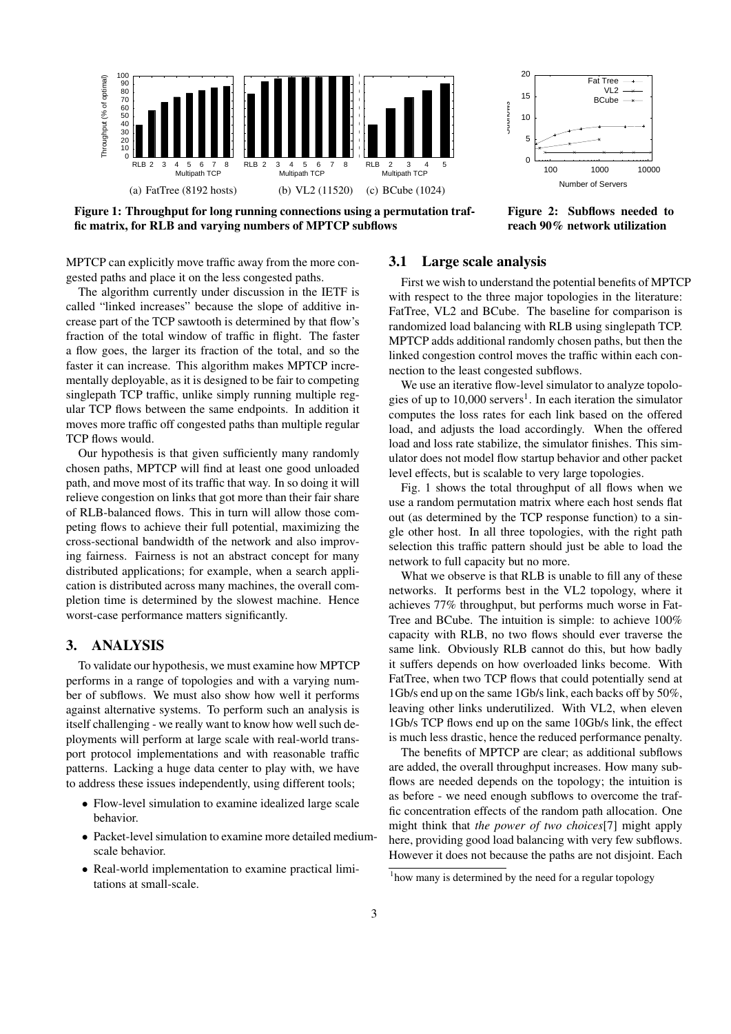



Figure 1: Throughput for long running connections using a permutation traffic matrix, for RLB and varying numbers of MPTCP subflows Figure 2: Subflows needed to reach 90% network utilization

MPTCP can explicitly move traffic away from the more congested paths and place it on the less congested paths.

The algorithm currently under discussion in the IETF is called "linked increases" because the slope of additive increase part of the TCP sawtooth is determined by that flow's fraction of the total window of traffic in flight. The faster a flow goes, the larger its fraction of the total, and so the faster it can increase. This algorithm makes MPTCP incrementally deployable, as it is designed to be fair to competing singlepath TCP traffic, unlike simply running multiple regular TCP flows between the same endpoints. In addition it moves more traffic off congested paths than multiple regular TCP flows would.

Our hypothesis is that given sufficiently many randomly chosen paths, MPTCP will find at least one good unloaded path, and move most of its traffic that way. In so doing it will relieve congestion on links that got more than their fair share of RLB-balanced flows. This in turn will allow those competing flows to achieve their full potential, maximizing the cross-sectional bandwidth of the network and also improving fairness. Fairness is not an abstract concept for many distributed applications; for example, when a search application is distributed across many machines, the overall completion time is determined by the slowest machine. Hence worst-case performance matters significantly.

# 3. ANALYSIS

To validate our hypothesis, we must examine how MPTCP performs in a range of topologies and with a varying number of subflows. We must also show how well it performs against alternative systems. To perform such an analysis is itself challenging - we really want to know how well such deployments will perform at large scale with real-world transport protocol implementations and with reasonable traffic patterns. Lacking a huge data center to play with, we have to address these issues independently, using different tools;

- Flow-level simulation to examine idealized large scale behavior.
- Packet-level simulation to examine more detailed mediumscale behavior.
- Real-world implementation to examine practical limitations at small-scale.

# 3.1 Large scale analysis

First we wish to understand the potential benefits of MPTCP with respect to the three major topologies in the literature: FatTree, VL2 and BCube. The baseline for comparison is randomized load balancing with RLB using singlepath TCP. MPTCP adds additional randomly chosen paths, but then the linked congestion control moves the traffic within each connection to the least congested subflows.

We use an iterative flow-level simulator to analyze topologies of up to  $10,000$  servers<sup>1</sup>. In each iteration the simulator computes the loss rates for each link based on the offered load, and adjusts the load accordingly. When the offered load and loss rate stabilize, the simulator finishes. This simulator does not model flow startup behavior and other packet level effects, but is scalable to very large topologies.

Fig. 1 shows the total throughput of all flows when we use a random permutation matrix where each host sends flat out (as determined by the TCP response function) to a single other host. In all three topologies, with the right path selection this traffic pattern should just be able to load the network to full capacity but no more.

What we observe is that RLB is unable to fill any of these networks. It performs best in the VL2 topology, where it achieves 77% throughput, but performs much worse in Fat-Tree and BCube. The intuition is simple: to achieve 100% capacity with RLB, no two flows should ever traverse the same link. Obviously RLB cannot do this, but how badly it suffers depends on how overloaded links become. With FatTree, when two TCP flows that could potentially send at 1Gb/s end up on the same 1Gb/s link, each backs off by 50%, leaving other links underutilized. With VL2, when eleven 1Gb/s TCP flows end up on the same 10Gb/s link, the effect is much less drastic, hence the reduced performance penalty.

The benefits of MPTCP are clear; as additional subflows are added, the overall throughput increases. How many subflows are needed depends on the topology; the intuition is as before - we need enough subflows to overcome the traffic concentration effects of the random path allocation. One might think that *the power of two choices*[7] might apply here, providing good load balancing with very few subflows. However it does not because the paths are not disjoint. Each

<sup>&</sup>lt;sup>1</sup> how many is determined by the need for a regular topology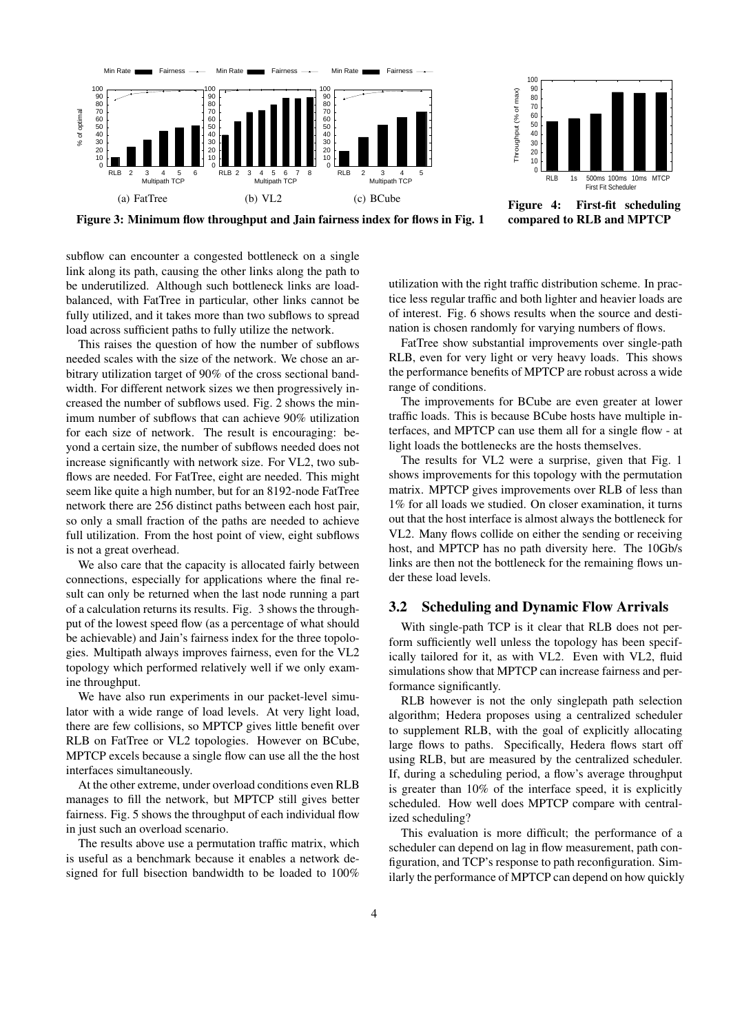

Figure 3: Minimum flow throughput and Jain fairness index for flows in Fig. 1



Figure 4: First-fit scheduling compared to RLB and MPTCP

subflow can encounter a congested bottleneck on a single link along its path, causing the other links along the path to be underutilized. Although such bottleneck links are loadbalanced, with FatTree in particular, other links cannot be fully utilized, and it takes more than two subflows to spread load across sufficient paths to fully utilize the network.

This raises the question of how the number of subflows needed scales with the size of the network. We chose an arbitrary utilization target of 90% of the cross sectional bandwidth. For different network sizes we then progressively increased the number of subflows used. Fig. 2 shows the minimum number of subflows that can achieve 90% utilization for each size of network. The result is encouraging: beyond a certain size, the number of subflows needed does not increase significantly with network size. For VL2, two subflows are needed. For FatTree, eight are needed. This might seem like quite a high number, but for an 8192-node FatTree network there are 256 distinct paths between each host pair, so only a small fraction of the paths are needed to achieve full utilization. From the host point of view, eight subflows is not a great overhead.

We also care that the capacity is allocated fairly between connections, especially for applications where the final result can only be returned when the last node running a part of a calculation returns its results. Fig. 3 shows the throughput of the lowest speed flow (as a percentage of what should be achievable) and Jain's fairness index for the three topologies. Multipath always improves fairness, even for the VL2 topology which performed relatively well if we only examine throughput.

We have also run experiments in our packet-level simulator with a wide range of load levels. At very light load, there are few collisions, so MPTCP gives little benefit over RLB on FatTree or VL2 topologies. However on BCube, MPTCP excels because a single flow can use all the the host interfaces simultaneously.

At the other extreme, under overload conditions even RLB manages to fill the network, but MPTCP still gives better fairness. Fig. 5 shows the throughput of each individual flow in just such an overload scenario.

The results above use a permutation traffic matrix, which is useful as a benchmark because it enables a network designed for full bisection bandwidth to be loaded to 100%

utilization with the right traffic distribution scheme. In practice less regular traffic and both lighter and heavier loads are of interest. Fig. 6 shows results when the source and destination is chosen randomly for varying numbers of flows.

FatTree show substantial improvements over single-path RLB, even for very light or very heavy loads. This shows the performance benefits of MPTCP are robust across a wide range of conditions.

The improvements for BCube are even greater at lower traffic loads. This is because BCube hosts have multiple interfaces, and MPTCP can use them all for a single flow - at light loads the bottlenecks are the hosts themselves.

The results for VL2 were a surprise, given that Fig. 1 shows improvements for this topology with the permutation matrix. MPTCP gives improvements over RLB of less than 1% for all loads we studied. On closer examination, it turns out that the host interface is almost always the bottleneck for VL2. Many flows collide on either the sending or receiving host, and MPTCP has no path diversity here. The 10Gb/s links are then not the bottleneck for the remaining flows under these load levels.

## 3.2 Scheduling and Dynamic Flow Arrivals

With single-path TCP is it clear that RLB does not perform sufficiently well unless the topology has been specifically tailored for it, as with VL2. Even with VL2, fluid simulations show that MPTCP can increase fairness and performance significantly.

RLB however is not the only singlepath path selection algorithm; Hedera proposes using a centralized scheduler to supplement RLB, with the goal of explicitly allocating large flows to paths. Specifically, Hedera flows start off using RLB, but are measured by the centralized scheduler. If, during a scheduling period, a flow's average throughput is greater than 10% of the interface speed, it is explicitly scheduled. How well does MPTCP compare with centralized scheduling?

This evaluation is more difficult; the performance of a scheduler can depend on lag in flow measurement, path configuration, and TCP's response to path reconfiguration. Similarly the performance of MPTCP can depend on how quickly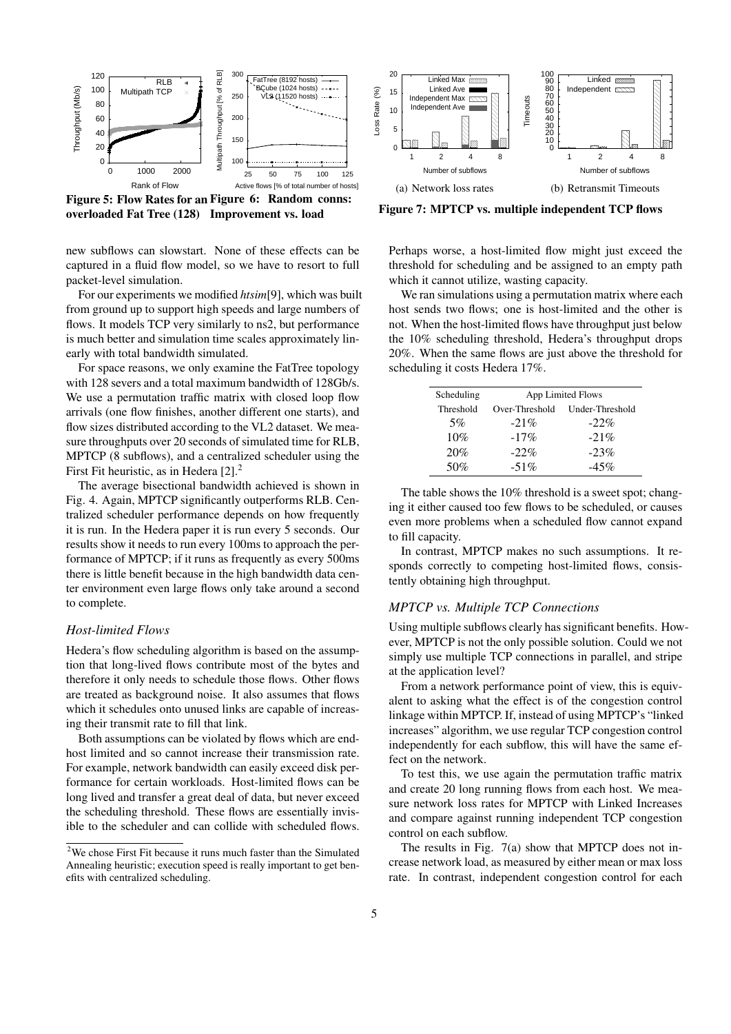

Figure 5: Flow Rates for an Figure 6: Random conns: overloaded Fat Tree (128) Improvement vs. load

new subflows can slowstart. None of these effects can be captured in a fluid flow model, so we have to resort to full packet-level simulation.

For our experiments we modified *htsim*[9], which was built from ground up to support high speeds and large numbers of flows. It models TCP very similarly to ns2, but performance is much better and simulation time scales approximately linearly with total bandwidth simulated.

For space reasons, we only examine the FatTree topology with 128 severs and a total maximum bandwidth of 128Gb/s. We use a permutation traffic matrix with closed loop flow arrivals (one flow finishes, another different one starts), and flow sizes distributed according to the VL2 dataset. We measure throughputs over 20 seconds of simulated time for RLB, MPTCP (8 subflows), and a centralized scheduler using the First Fit heuristic, as in Hedera  $[2]$ .<sup>2</sup>

The average bisectional bandwidth achieved is shown in Fig. 4. Again, MPTCP significantly outperforms RLB. Centralized scheduler performance depends on how frequently it is run. In the Hedera paper it is run every 5 seconds. Our results show it needs to run every 100ms to approach the performance of MPTCP; if it runs as frequently as every 500ms there is little benefit because in the high bandwidth data center environment even large flows only take around a second to complete.

#### *Host-limited Flows*

Hedera's flow scheduling algorithm is based on the assumption that long-lived flows contribute most of the bytes and therefore it only needs to schedule those flows. Other flows are treated as background noise. It also assumes that flows which it schedules onto unused links are capable of increasing their transmit rate to fill that link.

Both assumptions can be violated by flows which are endhost limited and so cannot increase their transmission rate. For example, network bandwidth can easily exceed disk performance for certain workloads. Host-limited flows can be long lived and transfer a great deal of data, but never exceed the scheduling threshold. These flows are essentially invisible to the scheduler and can collide with scheduled flows.



Figure 7: MPTCP vs. multiple independent TCP flows

Perhaps worse, a host-limited flow might just exceed the threshold for scheduling and be assigned to an empty path which it cannot utilize, wasting capacity.

We ran simulations using a permutation matrix where each host sends two flows; one is host-limited and the other is not. When the host-limited flows have throughput just below the 10% scheduling threshold, Hedera's throughput drops 20%. When the same flows are just above the threshold for scheduling it costs Hedera 17%.

| Scheduling | App Limited Flows |                 |  |
|------------|-------------------|-----------------|--|
| Threshold  | Over-Threshold    | Under-Threshold |  |
| 5%         | $-21\%$           | $-22\%$         |  |
| 10%        | $-17\%$           | $-21\%$         |  |
| 20%        | $-22\%$           | $-23%$          |  |
| 50%        | $-51\%$           | $-45%$          |  |

The table shows the 10% threshold is a sweet spot; changing it either caused too few flows to be scheduled, or causes even more problems when a scheduled flow cannot expand to fill capacity.

In contrast, MPTCP makes no such assumptions. It responds correctly to competing host-limited flows, consistently obtaining high throughput.

## *MPTCP vs. Multiple TCP Connections*

Using multiple subflows clearly has significant benefits. However, MPTCP is not the only possible solution. Could we not simply use multiple TCP connections in parallel, and stripe at the application level?

From a network performance point of view, this is equivalent to asking what the effect is of the congestion control linkage within MPTCP. If, instead of using MPTCP's "linked increases" algorithm, we use regular TCP congestion control independently for each subflow, this will have the same effect on the network.

To test this, we use again the permutation traffic matrix and create 20 long running flows from each host. We measure network loss rates for MPTCP with Linked Increases and compare against running independent TCP congestion control on each subflow.

The results in Fig. 7(a) show that MPTCP does not increase network load, as measured by either mean or max loss rate. In contrast, independent congestion control for each

<sup>2</sup>We chose First Fit because it runs much faster than the Simulated Annealing heuristic; execution speed is really important to get benefits with centralized scheduling.